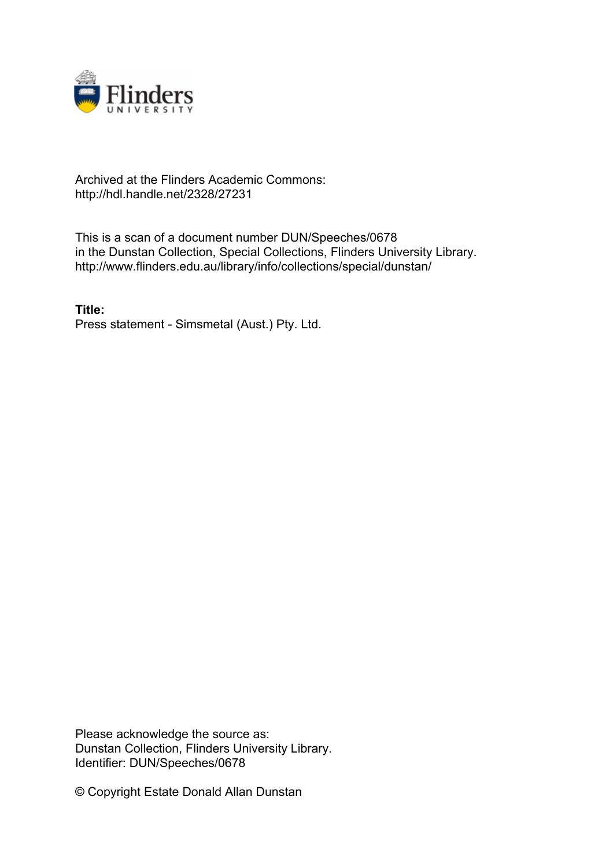

## Archived at the Flinders Academic Commons: http://hdl.handle.net/2328/27231

This is a scan of a document number DUN/Speeches/0678 in the Dunstan Collection, Special Collections, Flinders University Library. http://www.flinders.edu.au/library/info/collections/special/dunstan/

**Title:** Press statement - Simsmetal (Aust.) Pty. Ltd.

Please acknowledge the source as: Dunstan Collection, Flinders University Library. Identifier: DUN/Speeches/0678

© Copyright Estate Donald Allan Dunstan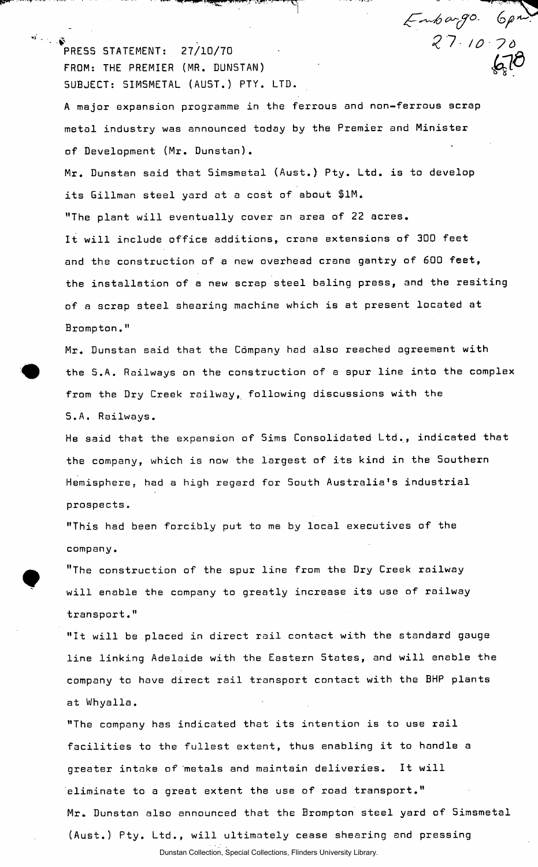$\mathbf{v}$ FRESS STATEMENT: 27/10/70  $27 / 10$   $70$ FROM: THE PREMIER (MR. DUNSTAN) SUBJECT: SIMSMETAL (AUST.) PTY. LTD.

A major expansion programme in the ferrous and non-ferrous scrap metal industry was announced today by the Premier and Minister of Development (Mr. Dunstan).

 $\mathcal{L}$  and  $\mathcal{L}$  and  $\mathcal{L}$  and  $\mathcal{L}$  and  $\mathcal{L}$ 

 $Embar{g}$ 0.  $6\rho n$ 

Mr. Dunstan said that Simsmetal (Aust.) Pty. Ltd. is to develop its Gillman steel yard at a cost of about \$1M. "The plant will eventually cover an area of 22 acres. It will include office additions, crane extensions of 300 feet and the construction of a new overhead crane gantry of 600 feet, the installation of a new scrap steel baling press, and the resiting of a scrap steel shearing machine which is at present located at Brompton."

Mr. Dunstan said that the Company had also reached agreement with the S.A. Railways on the construction of a spur line into the complex from the Dry Creek railway, following discussions with the S.A. Railways.

He said that the expansion of Sims Consolidated Ltd., indicated that the company, which is now the largest of its kind in the Southern Hemisphere, had a high regard for South Australia's industrial prospects.

"This had been forcibly put to me by local executives of the company.

"The construction of the spur line from the Dry Creek railway will enable the company to greatly increase its use of railway transport."

"It will be placed in direct rail contact with the standard gauge line linking Adelaide with the Eastern States, and will enable the company to have direct rail transport contact with the BHP plants at Whyalla.

"The company has indicated that its intention is to use rail facilities to the fullest extent, thus enabling it to handle a greater intake of metals and maintain deliveries. It will eliminate to a great extent the use of road transport." Mr. Dunstan also announced that the Brompton steel yard of Simsmetal (Aust.) Pty. Ltd., will ultimately cease shearing and pressing Dunstan Collection, Special Collections, Flinders University Library.